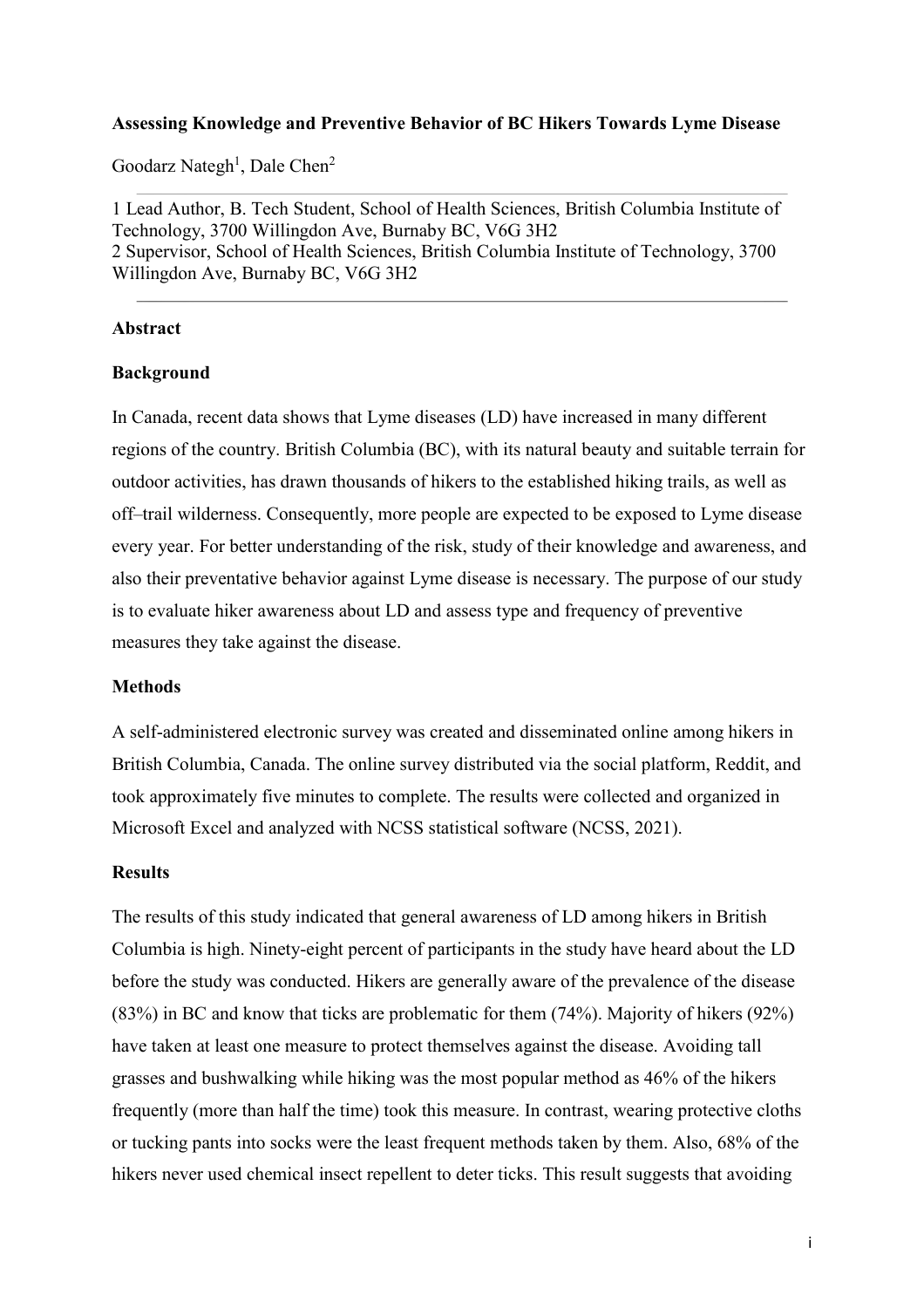#### **Assessing Knowledge and Preventive Behavior of BC Hikers Towards Lyme Disease**

Goodarz Nategh<sup>1</sup>, Dale Chen<sup>2</sup>

1 Lead Author, B. Tech Student, School of Health Sciences, British Columbia Institute of Technology, 3700 Willingdon Ave, Burnaby BC, V6G 3H2 2 Supervisor, School of Health Sciences, British Columbia Institute of Technology, 3700 Willingdon Ave, Burnaby BC, V6G 3H2

#### **Abstract**

#### **Background**

In Canada, recent data shows that Lyme diseases (LD) have increased in many different regions of the country. British Columbia (BC), with its natural beauty and suitable terrain for outdoor activities, has drawn thousands of hikers to the established hiking trails, as well as off–trail wilderness. Consequently, more people are expected to be exposed to Lyme disease every year. For better understanding of the risk, study of their knowledge and awareness, and also their preventative behavior against Lyme disease is necessary. The purpose of our study is to evaluate hiker awareness about LD and assess type and frequency of preventive measures they take against the disease.

#### **Methods**

A self-administered electronic survey was created and disseminated online among hikers in British Columbia, Canada. The online survey distributed via the social platform, Reddit, and took approximately five minutes to complete. The results were collected and organized in Microsoft Excel and analyzed with NCSS statistical software (NCSS, 2021).

#### **Results**

The results of this study indicated that general awareness of LD among hikers in British Columbia is high. Ninety-eight percent of participants in the study have heard about the LD before the study was conducted. Hikers are generally aware of the prevalence of the disease (83%) in BC and know that ticks are problematic for them (74%). Majority of hikers (92%) have taken at least one measure to protect themselves against the disease. Avoiding tall grasses and bushwalking while hiking was the most popular method as 46% of the hikers frequently (more than half the time) took this measure. In contrast, wearing protective cloths or tucking pants into socks were the least frequent methods taken by them. Also, 68% of the hikers never used chemical insect repellent to deter ticks. This result suggests that avoiding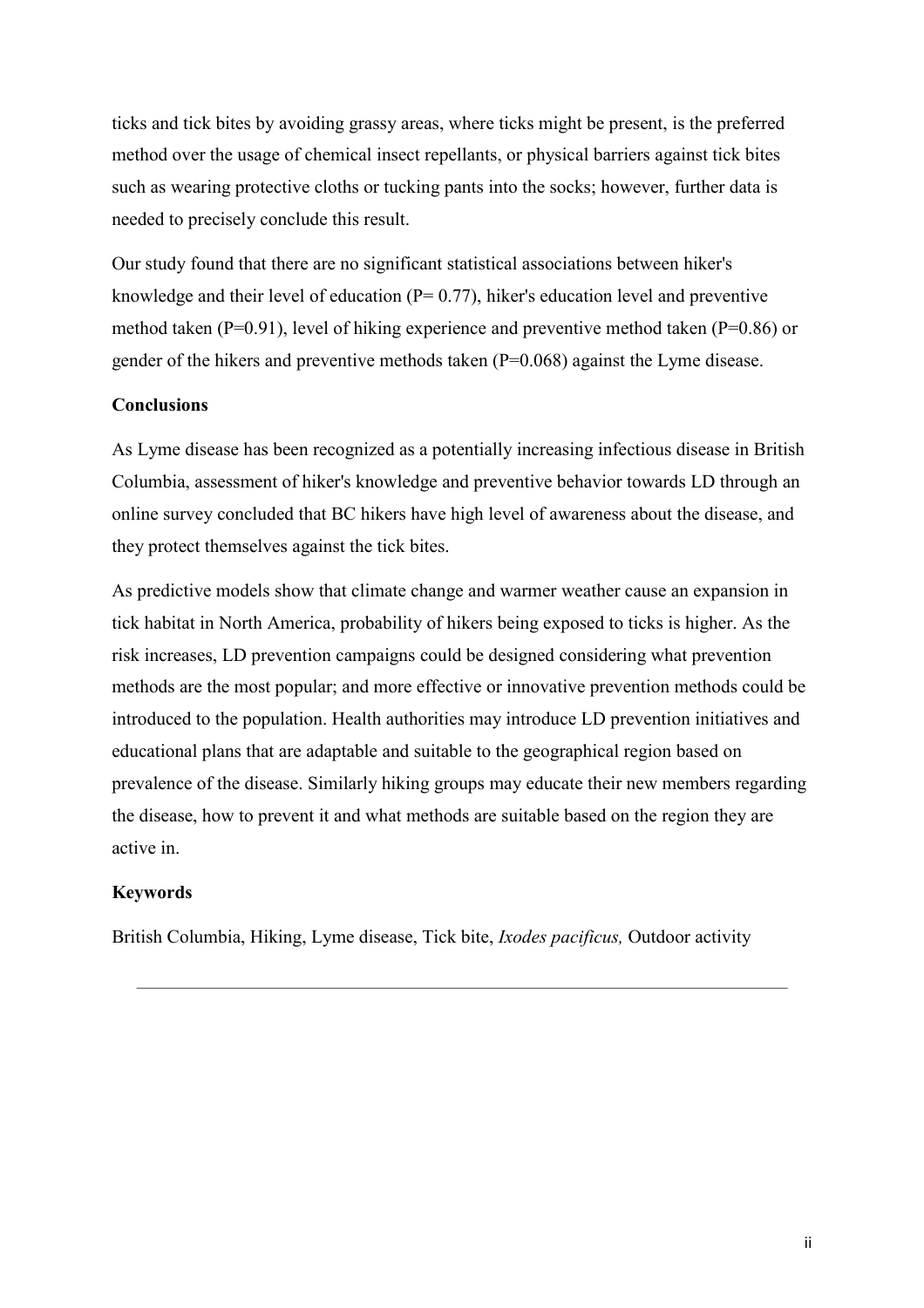ticks and tick bites by avoiding grassy areas, where ticks might be present, is the preferred method over the usage of chemical insect repellants, or physical barriers against tick bites such as wearing protective cloths or tucking pants into the socks; however, further data is needed to precisely conclude this result.

Our study found that there are no significant statistical associations between hiker's knowledge and their level of education ( $P= 0.77$ ), hiker's education level and preventive method taken ( $P=0.91$ ), level of hiking experience and preventive method taken ( $P=0.86$ ) or gender of the hikers and preventive methods taken  $(P=0.068)$  against the Lyme disease.

#### **Conclusions**

As Lyme disease has been recognized as a potentially increasing infectious disease in British Columbia, assessment of hiker's knowledge and preventive behavior towards LD through an online survey concluded that BC hikers have high level of awareness about the disease, and they protect themselves against the tick bites.

As predictive models show that climate change and warmer weather cause an expansion in tick habitat in North America, probability of hikers being exposed to ticks is higher. As the risk increases, LD prevention campaigns could be designed considering what prevention methods are the most popular; and more effective or innovative prevention methods could be introduced to the population. Health authorities may introduce LD prevention initiatives and educational plans that are adaptable and suitable to the geographical region based on prevalence of the disease. Similarly hiking groups may educate their new members regarding the disease, how to prevent it and what methods are suitable based on the region they are active in.

#### **Keywords**

British Columbia, Hiking, Lyme disease, Tick bite, *Ixodes pacificus,* Outdoor activity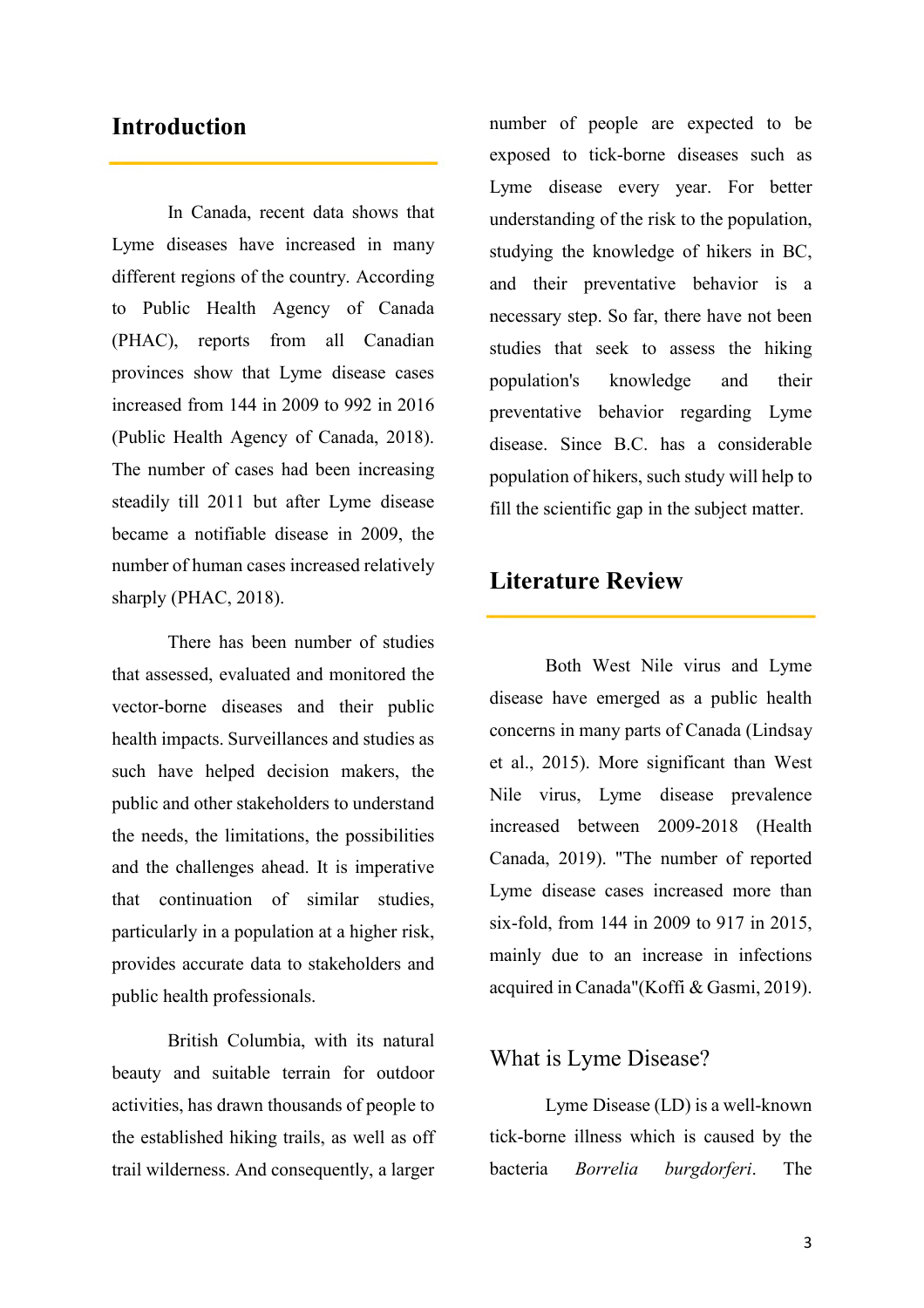### **Introduction**

In Canada, recent data shows that Lyme diseases have increased in many different regions of the country. According to Public Health Agency of Canada (PHAC), reports from all Canadian provinces show that Lyme disease cases increased from 144 in 2009 to 992 in 2016 (Public Health Agency of Canada, 2018). The number of cases had been increasing steadily till 2011 but after Lyme disease became a notifiable disease in 2009, the number of human cases increased relatively sharply (PHAC, 2018).

There has been number of studies that assessed, evaluated and monitored the vector-borne diseases and their public health impacts. Surveillances and studies as such have helped decision makers, the public and other stakeholders to understand the needs, the limitations, the possibilities and the challenges ahead. It is imperative that continuation of similar studies, particularly in a population at a higher risk, provides accurate data to stakeholders and public health professionals.

British Columbia, with its natural beauty and suitable terrain for outdoor activities, has drawn thousands of people to the established hiking trails, as well as off trail wilderness. And consequently, a larger

number of people are expected to be exposed to tick-borne diseases such as Lyme disease every year. For better understanding of the risk to the population, studying the knowledge of hikers in BC, and their preventative behavior is a necessary step. So far, there have not been studies that seek to assess the hiking population's knowledge and their preventative behavior regarding Lyme disease. Since B.C. has a considerable population of hikers, such study will help to fill the scientific gap in the subject matter.

### **Literature Review**

Both West Nile virus and Lyme disease have emerged as a public health concerns in many parts of Canada (Lindsay et al., 2015). More significant than West Nile virus, Lyme disease prevalence increased between 2009-2018 (Health Canada, 2019). "The number of reported Lyme disease cases increased more than six-fold, from 144 in 2009 to 917 in 2015, mainly due to an increase in infections acquired in Canada"(Koffi & Gasmi, 2019).

### What is Lyme Disease?

Lyme Disease (LD) is a well-known tick-borne illness which is caused by the bacteria *Borrelia burgdorferi*. The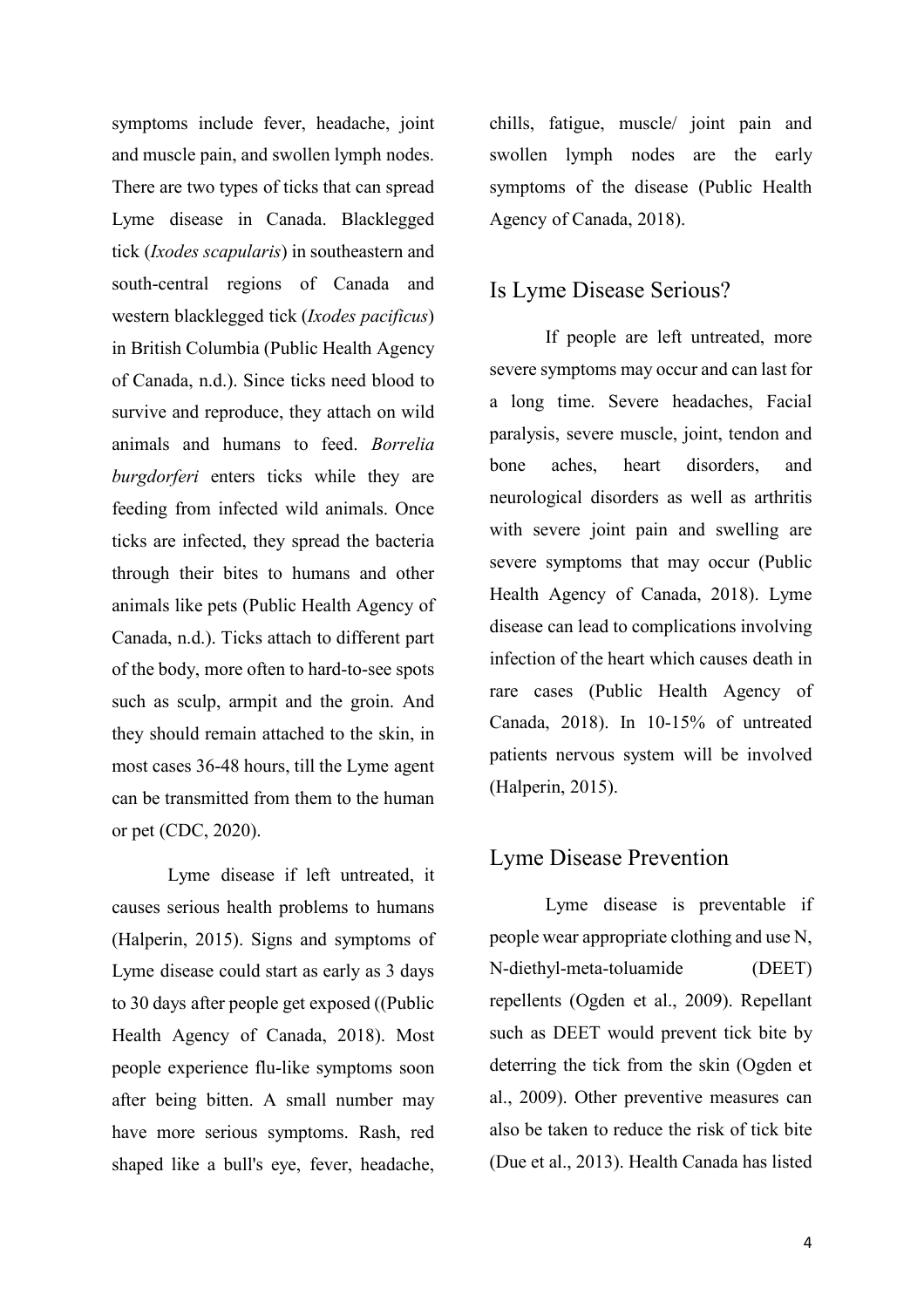symptoms include fever, headache, joint and muscle pain, and swollen lymph nodes. There are two types of ticks that can spread Lyme disease in Canada. Blacklegged tick (*Ixodes scapularis*) in southeastern and south-central regions of Canada and western blacklegged tick (*Ixodes pacificus*) in British Columbia (Public Health Agency of Canada, n.d.). Since ticks need blood to survive and reproduce, they attach on wild animals and humans to feed. *Borrelia burgdorferi* enters ticks while they are feeding from infected wild animals. Once ticks are infected, they spread the bacteria through their bites to humans and other animals like pets (Public Health Agency of Canada, n.d.). Ticks attach to different part of the body, more often to hard-to-see spots such as sculp, armpit and the groin. And they should remain attached to the skin, in most cases 36-48 hours, till the Lyme agent can be transmitted from them to the human or pet (CDC, 2020).

Lyme disease if left untreated, it causes serious health problems to humans (Halperin, 2015). Signs and symptoms of Lyme disease could start as early as 3 days to 30 days after people get exposed ((Public Health Agency of Canada, 2018). Most people experience flu-like symptoms soon after being bitten. A small number may have more serious symptoms. Rash, red shaped like a bull's eye, fever, headache,

chills, fatigue, muscle/ joint pain and swollen lymph nodes are the early symptoms of the disease (Public Health Agency of Canada, 2018).

### Is Lyme Disease Serious?

If people are left untreated, more severe symptoms may occur and can last for a long time. Severe headaches, Facial paralysis, severe muscle, joint, tendon and bone aches, heart disorders, and neurological disorders as well as arthritis with severe joint pain and swelling are severe symptoms that may occur (Public Health Agency of Canada, 2018). Lyme disease can lead to complications involving infection of the heart which causes death in rare cases (Public Health Agency of Canada, 2018). In 10-15% of untreated patients nervous system will be involved (Halperin, 2015).

### Lyme Disease Prevention

Lyme disease is preventable if people wear appropriate clothing and use N, N-diethyl-meta-toluamide (DEET) repellents (Ogden et al., 2009). Repellant such as DEET would prevent tick bite by deterring the tick from the skin (Ogden et al., 2009). Other preventive measures can also be taken to reduce the risk of tick bite (Due et al., 2013). Health Canada has listed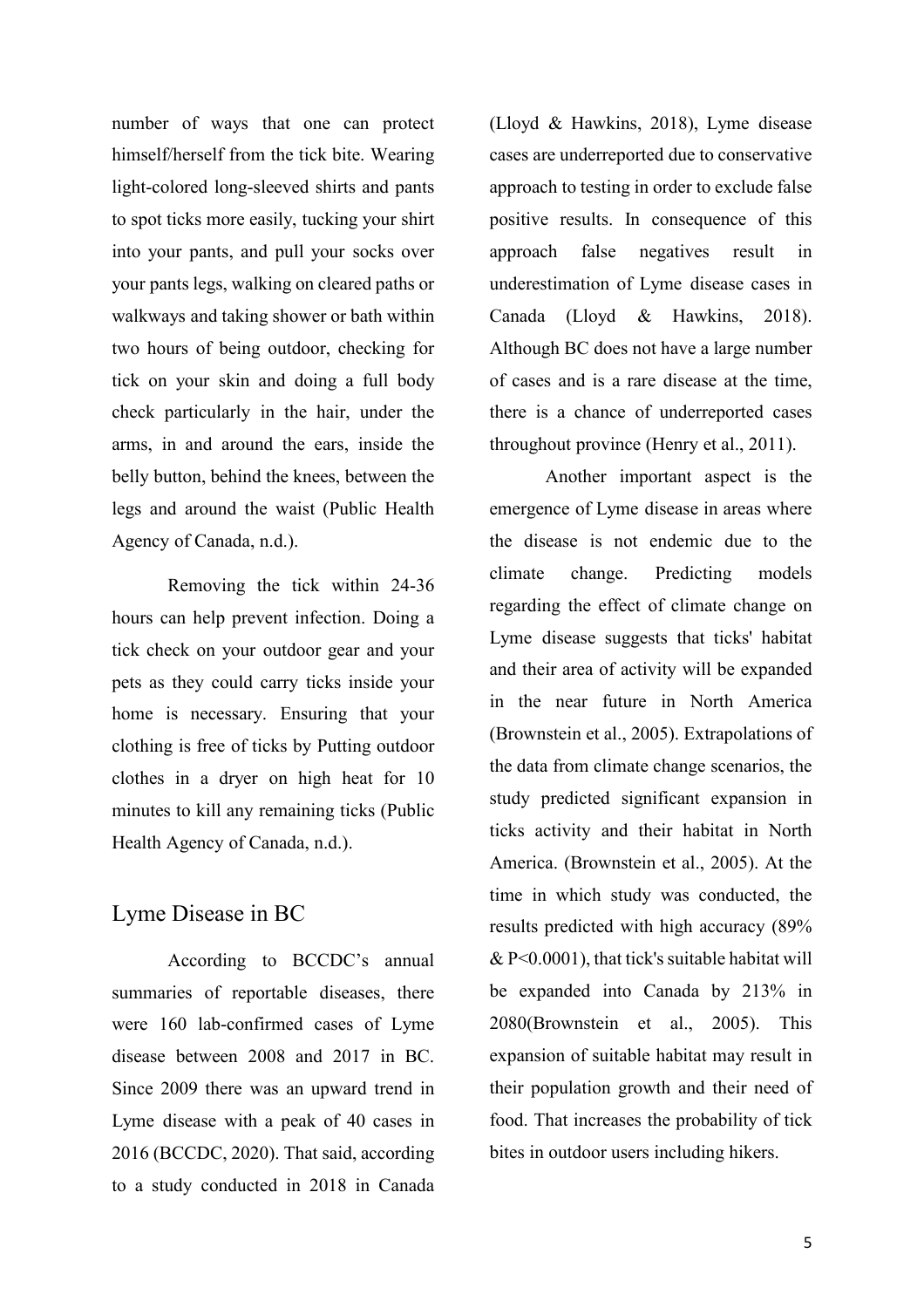number of ways that one can protect himself/herself from the tick bite. Wearing light-colored long-sleeved shirts and pants to spot ticks more easily, tucking your shirt into your pants, and pull your socks over your pants legs, walking on cleared paths or walkways and taking shower or bath within two hours of being outdoor, checking for tick on your skin and doing a full body check particularly in the hair, under the arms, in and around the ears, inside the belly button, behind the knees, between the legs and around the waist (Public Health Agency of Canada, n.d.).

 Removing the tick within 24-36 hours can help prevent infection. Doing a tick check on your outdoor gear and your pets as they could carry ticks inside your home is necessary. Ensuring that your clothing is free of ticks by Putting outdoor clothes in a dryer on high heat for 10 minutes to kill any remaining ticks (Public Health Agency of Canada, n.d.).

### Lyme Disease in BC

According to BCCDC's annual summaries of reportable diseases, there were 160 lab-confirmed cases of Lyme disease between 2008 and 2017 in BC. Since 2009 there was an upward trend in Lyme disease with a peak of 40 cases in 2016 (BCCDC, 2020). That said, according to a study conducted in 2018 in Canada

(Lloyd & Hawkins, 2018), Lyme disease cases are underreported due to conservative approach to testing in order to exclude false positive results. In consequence of this approach false negatives result in underestimation of Lyme disease cases in Canada (Lloyd & Hawkins, 2018). Although BC does not have a large number of cases and is a rare disease at the time, there is a chance of underreported cases throughout province (Henry et al., 2011).

Another important aspect is the emergence of Lyme disease in areas where the disease is not endemic due to the climate change. Predicting models regarding the effect of climate change on Lyme disease suggests that ticks' habitat and their area of activity will be expanded in the near future in North America (Brownstein et al., 2005). Extrapolations of the data from climate change scenarios, the study predicted significant expansion in ticks activity and their habitat in North America. (Brownstein et al., 2005). At the time in which study was conducted, the results predicted with high accuracy (89% & P<0.0001), that tick's suitable habitat will be expanded into Canada by 213% in 2080(Brownstein et al., 2005). This expansion of suitable habitat may result in their population growth and their need of food. That increases the probability of tick bites in outdoor users including hikers.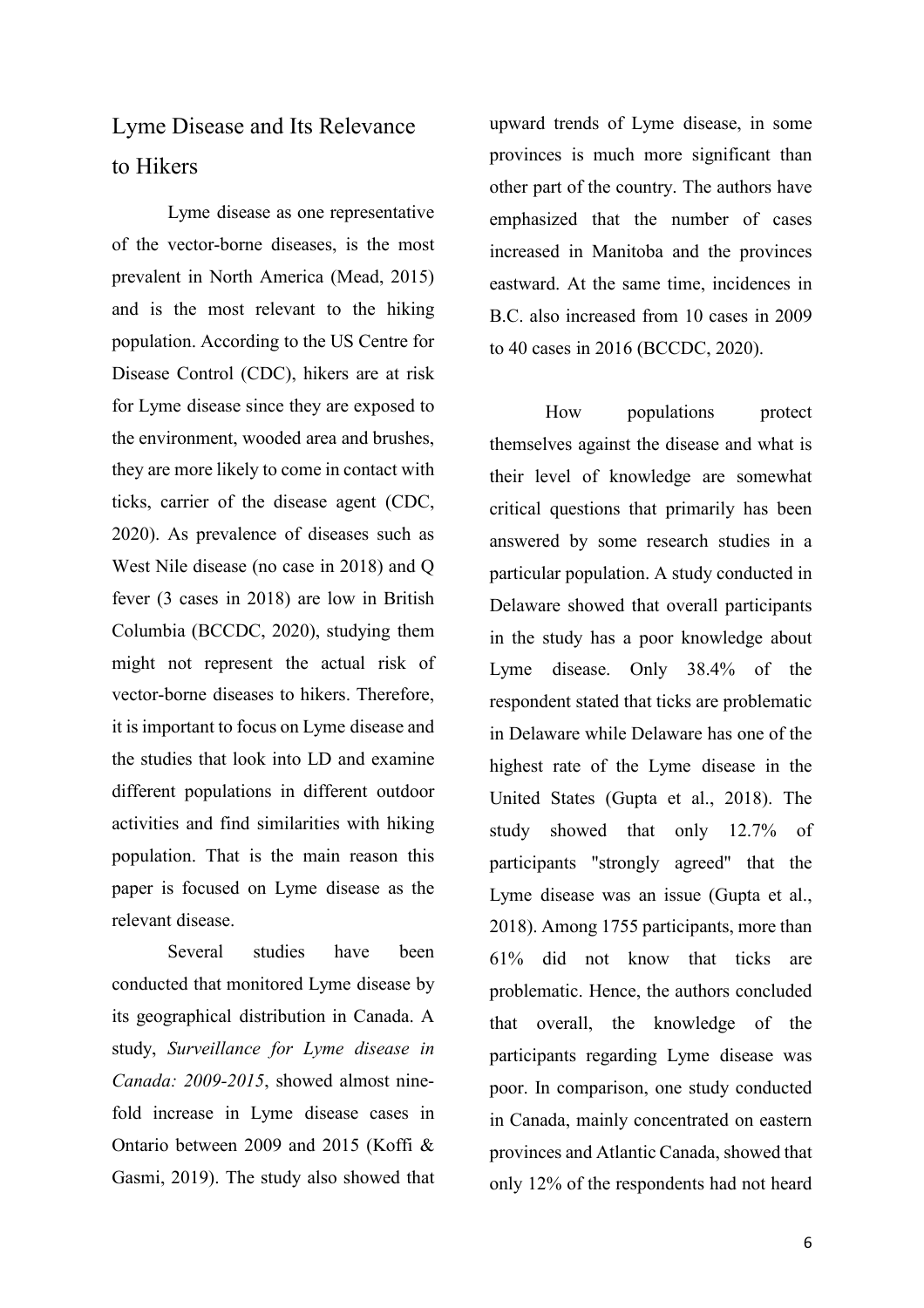# Lyme Disease and Its Relevance to Hikers

 Lyme disease as one representative of the vector-borne diseases, is the most prevalent in North America (Mead, 2015) and is the most relevant to the hiking population. According to the US Centre for Disease Control (CDC), hikers are at risk for Lyme disease since they are exposed to the environment, wooded area and brushes, they are more likely to come in contact with ticks, carrier of the disease agent (CDC, 2020). As prevalence of diseases such as West Nile disease (no case in 2018) and Q fever (3 cases in 2018) are low in British Columbia (BCCDC, 2020), studying them might not represent the actual risk of vector-borne diseases to hikers. Therefore, it is important to focus on Lyme disease and the studies that look into LD and examine different populations in different outdoor activities and find similarities with hiking population. That is the main reason this paper is focused on Lyme disease as the relevant disease.

Several studies have been conducted that monitored Lyme disease by its geographical distribution in Canada. A study, *Surveillance for Lyme disease in Canada: 2009-2015*, showed almost ninefold increase in Lyme disease cases in Ontario between 2009 and 2015 (Koffi & Gasmi, 2019). The study also showed that upward trends of Lyme disease, in some provinces is much more significant than other part of the country. The authors have emphasized that the number of cases increased in Manitoba and the provinces eastward. At the same time, incidences in B.C. also increased from 10 cases in 2009 to 40 cases in 2016 (BCCDC, 2020).

How populations protect themselves against the disease and what is their level of knowledge are somewhat critical questions that primarily has been answered by some research studies in a particular population. A study conducted in Delaware showed that overall participants in the study has a poor knowledge about Lyme disease. Only 38.4% of the respondent stated that ticks are problematic in Delaware while Delaware has one of the highest rate of the Lyme disease in the United States (Gupta et al., 2018). The study showed that only 12.7% of participants "strongly agreed" that the Lyme disease was an issue (Gupta et al., 2018). Among 1755 participants, more than 61% did not know that ticks are problematic. Hence, the authors concluded that overall, the knowledge of the participants regarding Lyme disease was poor. In comparison, one study conducted in Canada, mainly concentrated on eastern provinces and Atlantic Canada, showed that only 12% of the respondents had not heard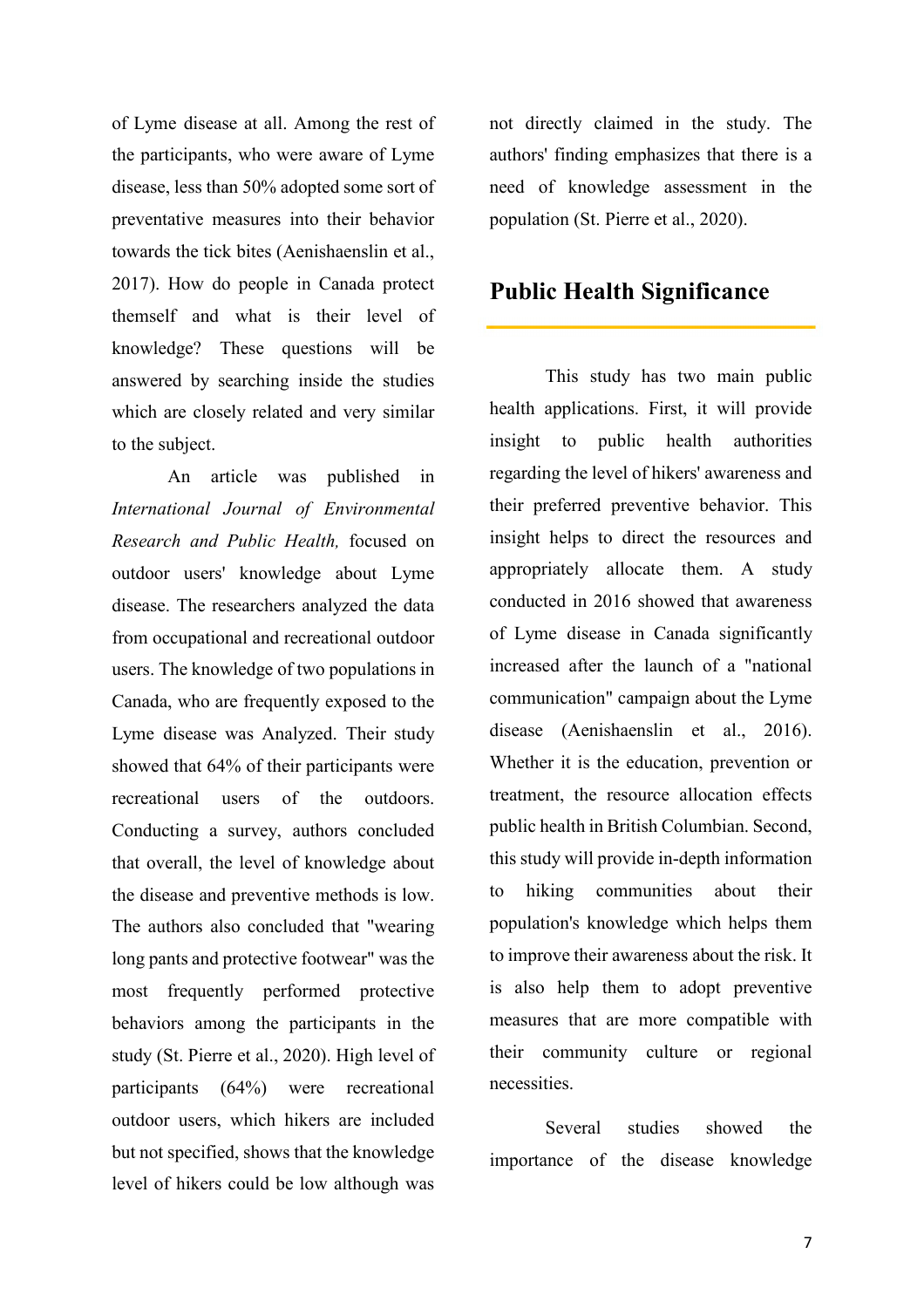of Lyme disease at all. Among the rest of the participants, who were aware of Lyme disease, less than 50% adopted some sort of preventative measures into their behavior towards the tick bites (Aenishaenslin et al., 2017). How do people in Canada protect themself and what is their level of knowledge? These questions will be answered by searching inside the studies which are closely related and very similar to the subject.

 An article was published in *International Journal of Environmental Research and Public Health,* focused on outdoor users' knowledge about Lyme disease. The researchers analyzed the data from occupational and recreational outdoor users. The knowledge of two populations in Canada, who are frequently exposed to the Lyme disease was Analyzed. Their study showed that 64% of their participants were recreational users of the outdoors. Conducting a survey, authors concluded that overall, the level of knowledge about the disease and preventive methods is low. The authors also concluded that "wearing long pants and protective footwear" was the most frequently performed protective behaviors among the participants in the study (St. Pierre et al., 2020). High level of participants (64%) were recreational outdoor users, which hikers are included but not specified, shows that the knowledge level of hikers could be low although was

not directly claimed in the study. The authors' finding emphasizes that there is a need of knowledge assessment in the population (St. Pierre et al., 2020).

### **Public Health Significance**

This study has two main public health applications. First, it will provide insight to public health authorities regarding the level of hikers' awareness and their preferred preventive behavior. This insight helps to direct the resources and appropriately allocate them. A study conducted in 2016 showed that awareness of Lyme disease in Canada significantly increased after the launch of a "national communication" campaign about the Lyme disease (Aenishaenslin et al., 2016). Whether it is the education, prevention or treatment, the resource allocation effects public health in British Columbian. Second, this study will provide in-depth information to hiking communities about their population's knowledge which helps them to improve their awareness about the risk. It is also help them to adopt preventive measures that are more compatible with their community culture or regional necessities.

Several studies showed the importance of the disease knowledge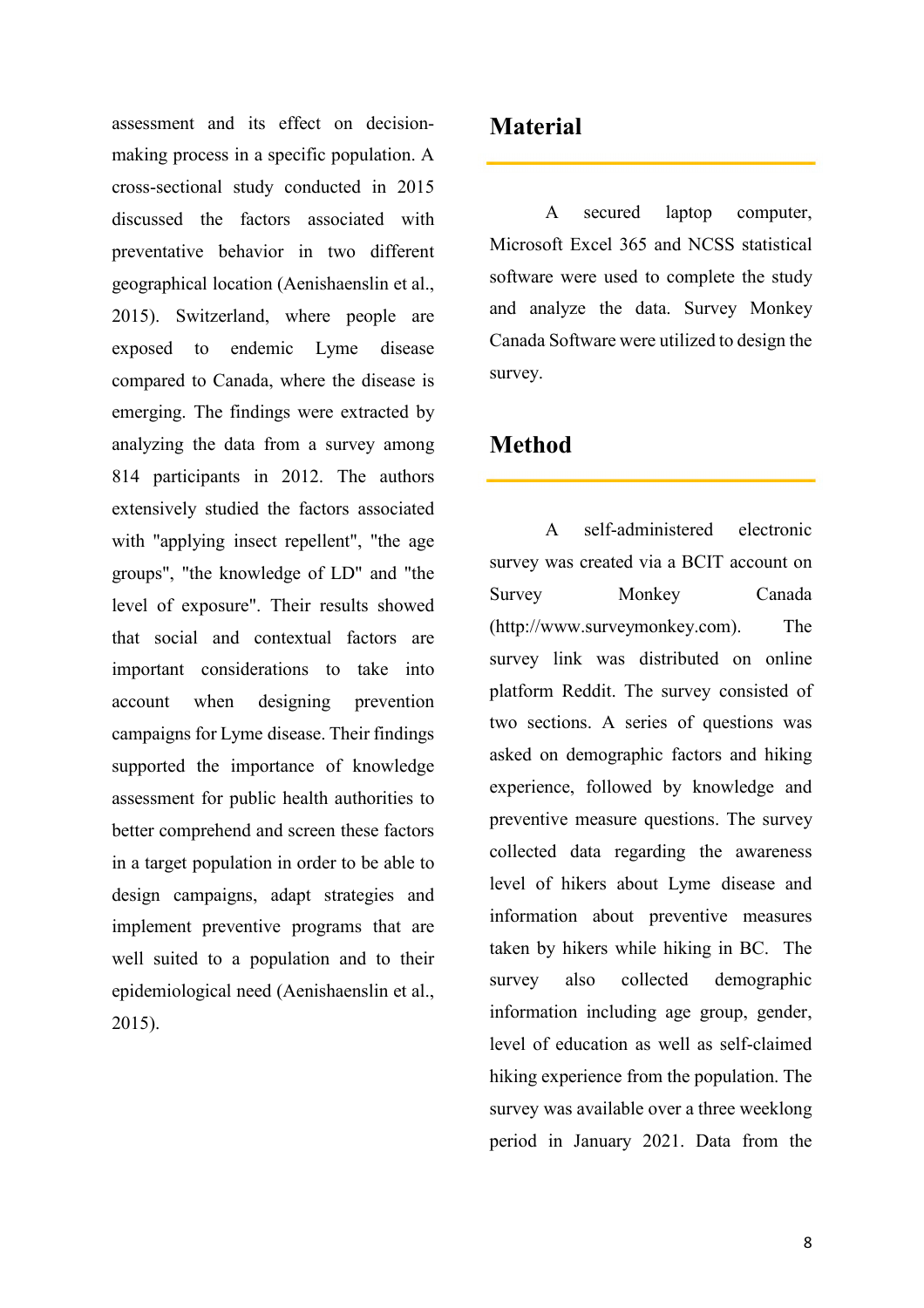assessment and its effect on decisionmaking process in a specific population. A cross-sectional study conducted in 2015 discussed the factors associated with preventative behavior in two different geographical location (Aenishaenslin et al., 2015). Switzerland, where people are exposed to endemic Lyme disease compared to Canada, where the disease is emerging. The findings were extracted by analyzing the data from a survey among 814 participants in 2012. The authors extensively studied the factors associated with "applying insect repellent", "the age groups", "the knowledge of LD" and "the level of exposure". Their results showed that social and contextual factors are important considerations to take into account when designing prevention campaigns for Lyme disease. Their findings supported the importance of knowledge assessment for public health authorities to better comprehend and screen these factors in a target population in order to be able to design campaigns, adapt strategies and implement preventive programs that are well suited to a population and to their epidemiological need (Aenishaenslin et al., 2015).

# **Material**

A secured laptop computer, Microsoft Excel 365 and NCSS statistical software were used to complete the study and analyze the data. Survey Monkey Canada Software were utilized to design the survey.

# **Method**

A self-administered electronic survey was created via a BCIT account on Survey Monkey Canada (http://www.surveymonkey.com). The survey link was distributed on online platform Reddit. The survey consisted of two sections. A series of questions was asked on demographic factors and hiking experience, followed by knowledge and preventive measure questions. The survey collected data regarding the awareness level of hikers about Lyme disease and information about preventive measures taken by hikers while hiking in BC. The survey also collected demographic information including age group, gender, level of education as well as self-claimed hiking experience from the population. The survey was available over a three weeklong period in January 2021. Data from the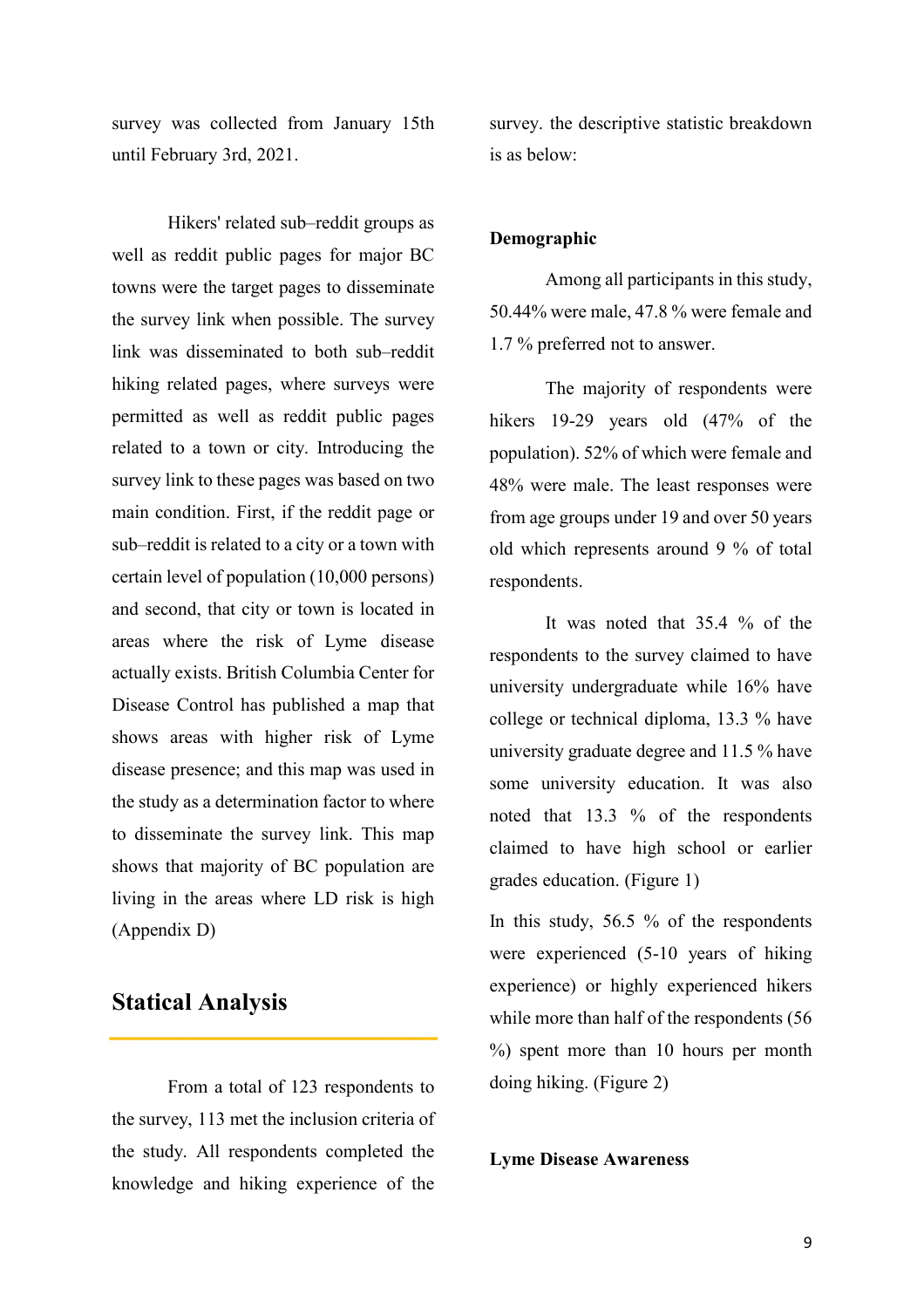survey was collected from January 15th until February 3rd, 2021.

Hikers' related sub–reddit groups as well as reddit public pages for major BC towns were the target pages to disseminate the survey link when possible. The survey link was disseminated to both sub–reddit hiking related pages, where surveys were permitted as well as reddit public pages related to a town or city. Introducing the survey link to these pages was based on two main condition. First, if the reddit page or sub–reddit is related to a city or a town with certain level of population (10,000 persons) and second, that city or town is located in areas where the risk of Lyme disease actually exists. British Columbia Center for Disease Control has published a map that shows areas with higher risk of Lyme disease presence; and this map was used in the study as a determination factor to where to disseminate the survey link. This map shows that majority of BC population are living in the areas where LD risk is high (Appendix D)

# **Statical Analysis**

From a total of 123 respondents to the survey, 113 met the inclusion criteria of the study. All respondents completed the knowledge and hiking experience of the survey. the descriptive statistic breakdown is as below:

#### **Demographic**

Among all participants in this study, 50.44% were male, 47.8 % were female and 1.7 % preferred not to answer.

The majority of respondents were hikers 19-29 years old (47% of the population). 52% of which were female and 48% were male. The least responses were from age groups under 19 and over 50 years old which represents around 9 % of total respondents.

It was noted that 35.4 % of the respondents to the survey claimed to have university undergraduate while 16% have college or technical diploma, 13.3 % have university graduate degree and 11.5 % have some university education. It was also noted that 13.3 % of the respondents claimed to have high school or earlier grades education. (Figure 1)

In this study, 56.5 % of the respondents were experienced (5-10 years of hiking experience) or highly experienced hikers while more than half of the respondents (56 %) spent more than 10 hours per month doing hiking. (Figure 2)

#### **Lyme Disease Awareness**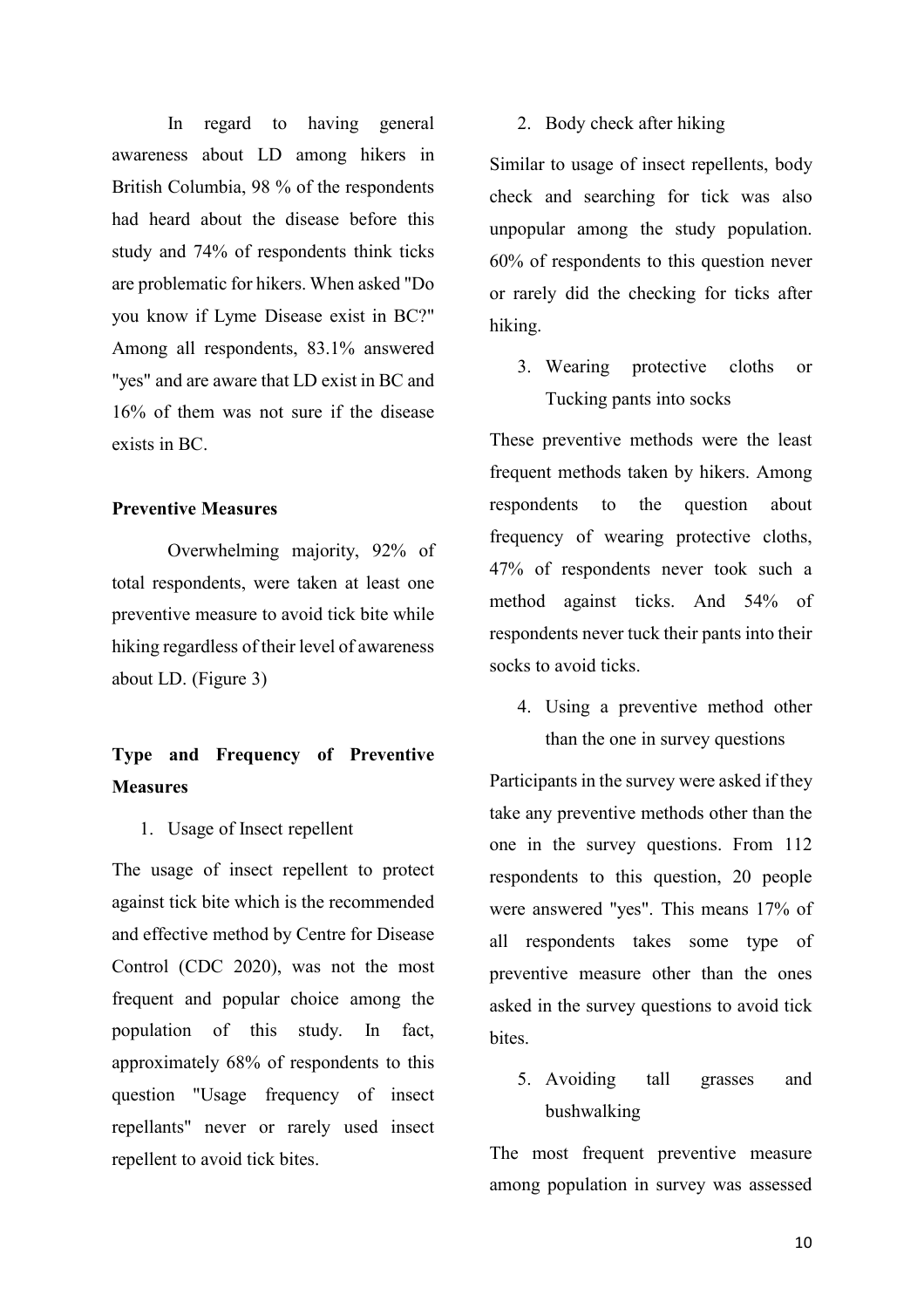In regard to having general awareness about LD among hikers in British Columbia, 98 % of the respondents had heard about the disease before this study and 74% of respondents think ticks are problematic for hikers. When asked "Do you know if Lyme Disease exist in BC?" Among all respondents, 83.1% answered "yes" and are aware that LD exist in BC and 16% of them was not sure if the disease exists in BC.

#### **Preventive Measures**

Overwhelming majority, 92% of total respondents, were taken at least one preventive measure to avoid tick bite while hiking regardless of their level of awareness about LD. (Figure 3)

# **Type and Frequency of Preventive Measures**

1. Usage of Insect repellent

The usage of insect repellent to protect against tick bite which is the recommended and effective method by Centre for Disease Control (CDC 2020), was not the most frequent and popular choice among the population of this study. In fact, approximately 68% of respondents to this question "Usage frequency of insect repellants" never or rarely used insect repellent to avoid tick bites.

#### 2. Body check after hiking

Similar to usage of insect repellents, body check and searching for tick was also unpopular among the study population. 60% of respondents to this question never or rarely did the checking for ticks after hiking.

3. Wearing protective cloths or Tucking pants into socks

These preventive methods were the least frequent methods taken by hikers. Among respondents to the question about frequency of wearing protective cloths, 47% of respondents never took such a method against ticks. And 54% of respondents never tuck their pants into their socks to avoid ticks.

4. Using a preventive method other than the one in survey questions

Participants in the survey were asked if they take any preventive methods other than the one in the survey questions. From 112 respondents to this question, 20 people were answered "yes". This means 17% of all respondents takes some type of preventive measure other than the ones asked in the survey questions to avoid tick bites.

5. Avoiding tall grasses and bushwalking

The most frequent preventive measure among population in survey was assessed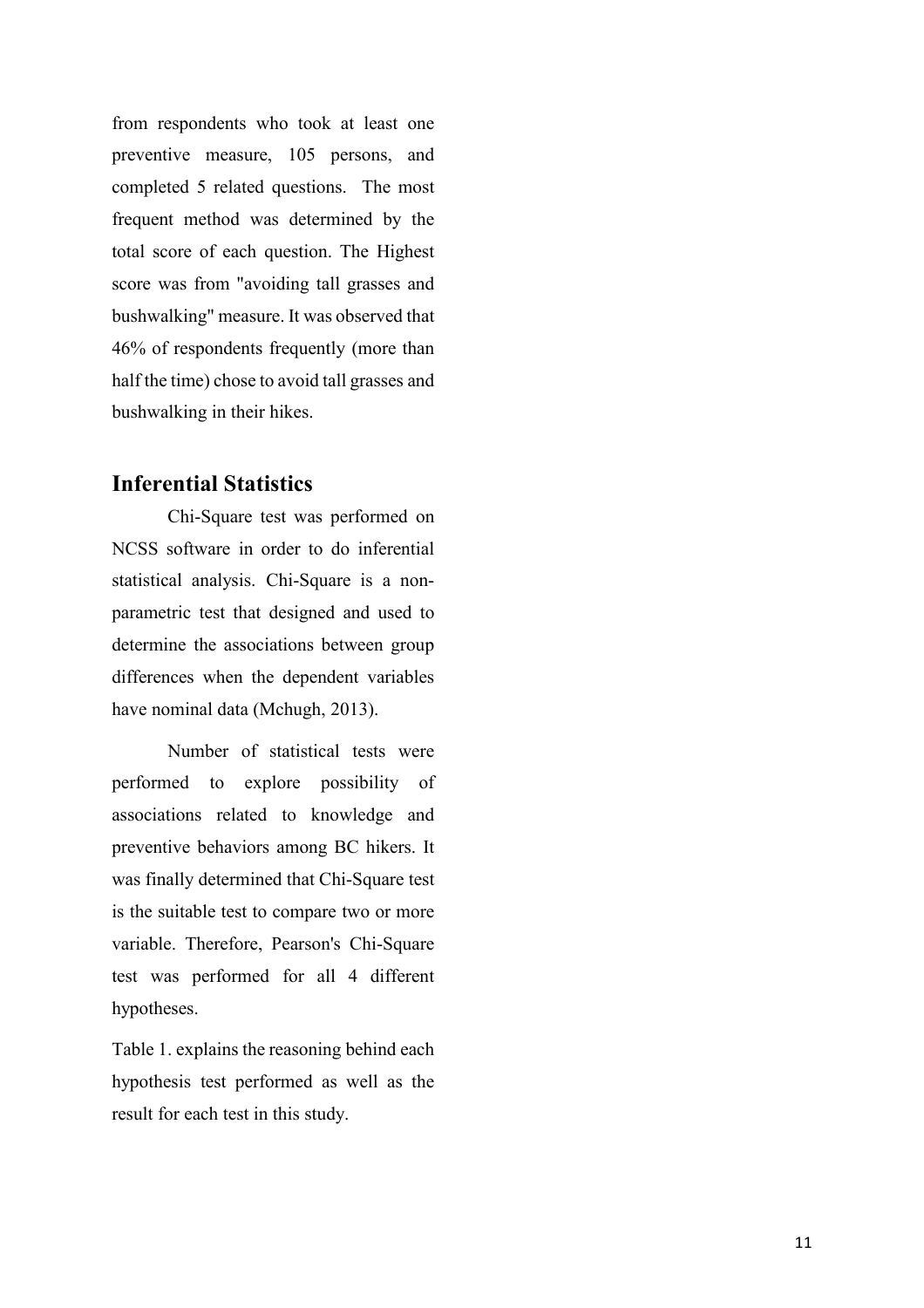from respondents who took at least one preventive measure, 105 persons, and completed 5 related questions. The most frequent method was determined by the total score of each question. The Highest score was from "avoiding tall grasses and bushwalking" measure. It was observed that 46% of respondents frequently (more than half the time) chose to avoid tall grasses and bushwalking in their hikes.

### **Inferential Statistics**

 Chi-Square test was performed on NCSS software in order to do inferential statistical analysis. Chi-Square is a nonparametric test that designed and used to determine the associations between group differences when the dependent variables have nominal data (Mchugh, 2013).

Number of statistical tests were performed to explore possibility of associations related to knowledge and preventive behaviors among BC hikers. It was finally determined that Chi-Square test is the suitable test to compare two or more variable. Therefore, Pearson's Chi-Square test was performed for all 4 different hypotheses.

Table 1. explains the reasoning behind each hypothesis test performed as well as the result for each test in this study.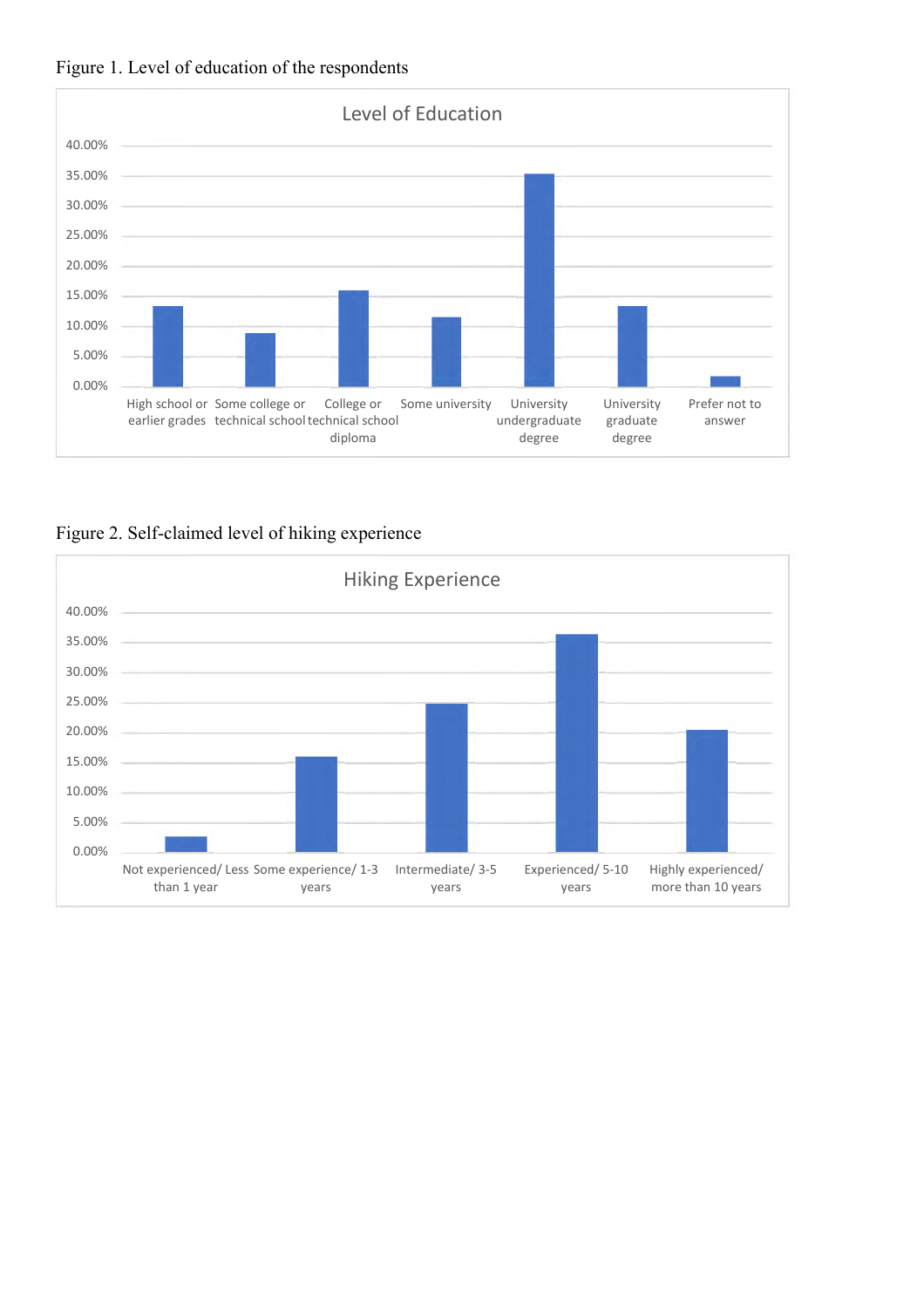



Figure 2. Self-claimed level of hiking experience

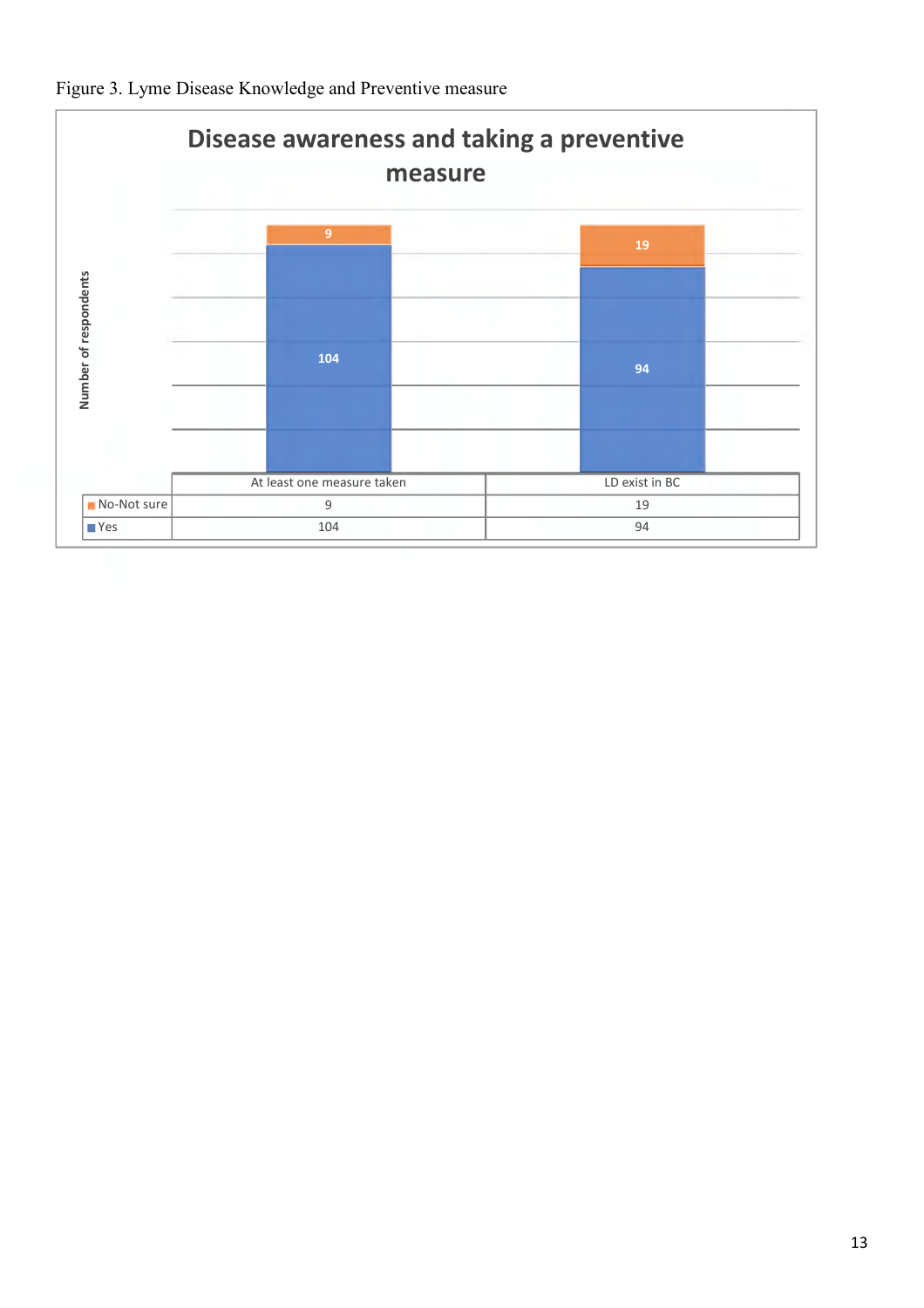

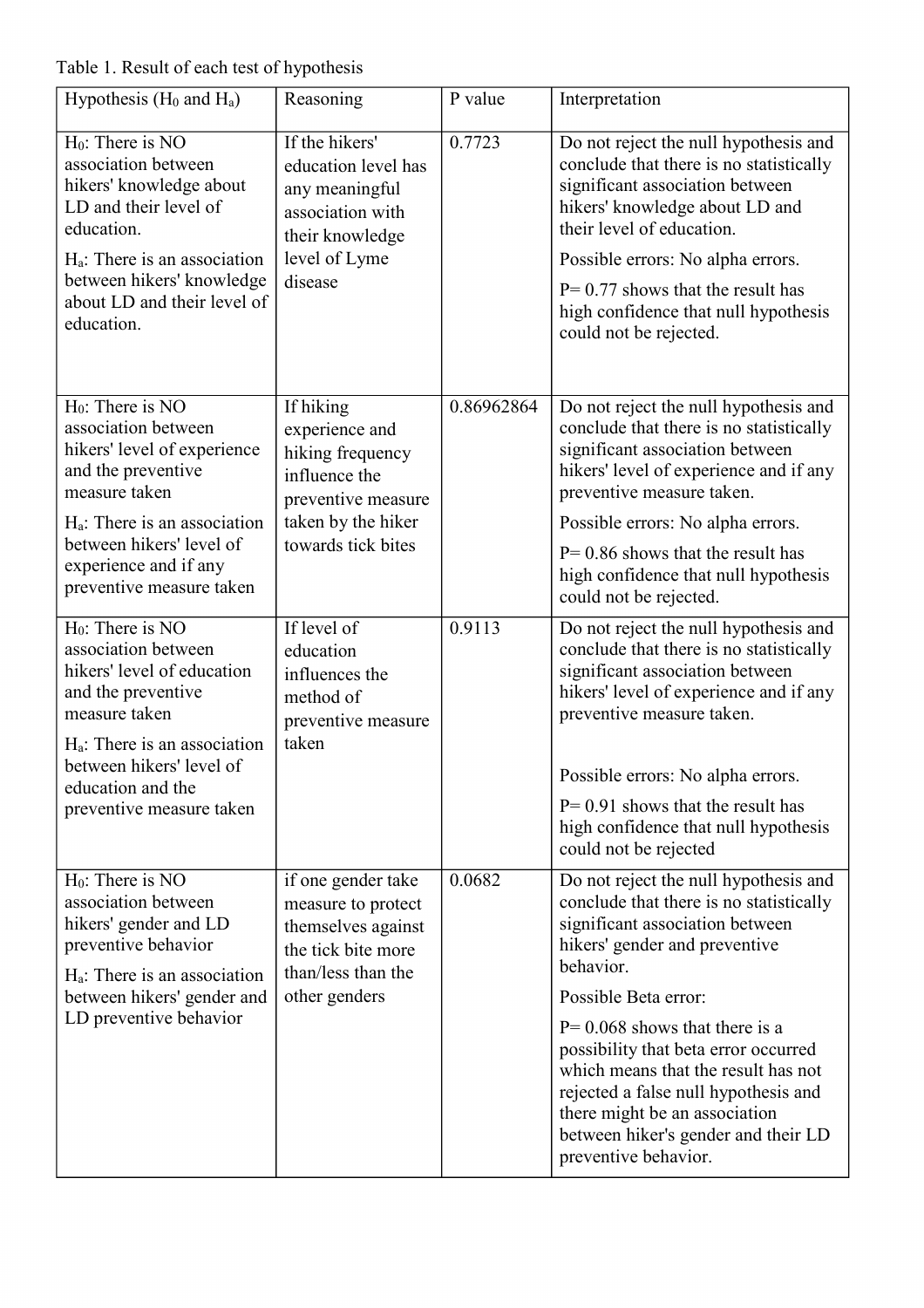Table 1. Result of each test of hypothesis

| Hypothesis ( $H_0$ and $H_a$ )                                                                                                                                                                                                       | Reasoning                                                                                                                          | P value    | Interpretation                                                                                                                                                                                                                                                                                                                                                                                                                                        |
|--------------------------------------------------------------------------------------------------------------------------------------------------------------------------------------------------------------------------------------|------------------------------------------------------------------------------------------------------------------------------------|------------|-------------------------------------------------------------------------------------------------------------------------------------------------------------------------------------------------------------------------------------------------------------------------------------------------------------------------------------------------------------------------------------------------------------------------------------------------------|
| $H_0$ : There is NO<br>association between<br>hikers' knowledge about<br>LD and their level of<br>education.<br>$H_a$ : There is an association<br>between hikers' knowledge<br>about LD and their level of<br>education.            | If the hikers'<br>education level has<br>any meaningful<br>association with<br>their knowledge<br>level of Lyme<br>disease         | 0.7723     | Do not reject the null hypothesis and<br>conclude that there is no statistically<br>significant association between<br>hikers' knowledge about LD and<br>their level of education.<br>Possible errors: No alpha errors.<br>$P = 0.77$ shows that the result has<br>high confidence that null hypothesis<br>could not be rejected.                                                                                                                     |
| $H_0$ : There is NO<br>association between<br>hikers' level of experience<br>and the preventive<br>measure taken<br>$H_a$ : There is an association<br>between hikers' level of<br>experience and if any<br>preventive measure taken | If hiking<br>experience and<br>hiking frequency<br>influence the<br>preventive measure<br>taken by the hiker<br>towards tick bites | 0.86962864 | Do not reject the null hypothesis and<br>conclude that there is no statistically<br>significant association between<br>hikers' level of experience and if any<br>preventive measure taken.<br>Possible errors: No alpha errors.<br>$P = 0.86$ shows that the result has<br>high confidence that null hypothesis<br>could not be rejected.                                                                                                             |
| $H_0$ : There is NO<br>association between<br>hikers' level of education<br>and the preventive<br>measure taken<br>$H_a$ : There is an association<br>between hikers' level of<br>education and the<br>preventive measure taken      | If level of<br>education<br>influences the<br>method of<br>preventive measure<br>taken                                             | 0.9113     | Do not reject the null hypothesis and<br>conclude that there is no statistically<br>significant association between<br>hikers' level of experience and if any<br>preventive measure taken.<br>Possible errors: No alpha errors.<br>$P = 0.91$ shows that the result has<br>high confidence that null hypothesis<br>could not be rejected                                                                                                              |
| $H_0$ : There is NO<br>association between<br>hikers' gender and LD<br>preventive behavior<br>$H_a$ : There is an association<br>between hikers' gender and<br>LD preventive behavior                                                | if one gender take<br>measure to protect<br>themselves against<br>the tick bite more<br>than/less than the<br>other genders        | 0.0682     | Do not reject the null hypothesis and<br>conclude that there is no statistically<br>significant association between<br>hikers' gender and preventive<br>behavior.<br>Possible Beta error:<br>$P = 0.068$ shows that there is a<br>possibility that beta error occurred<br>which means that the result has not<br>rejected a false null hypothesis and<br>there might be an association<br>between hiker's gender and their LD<br>preventive behavior. |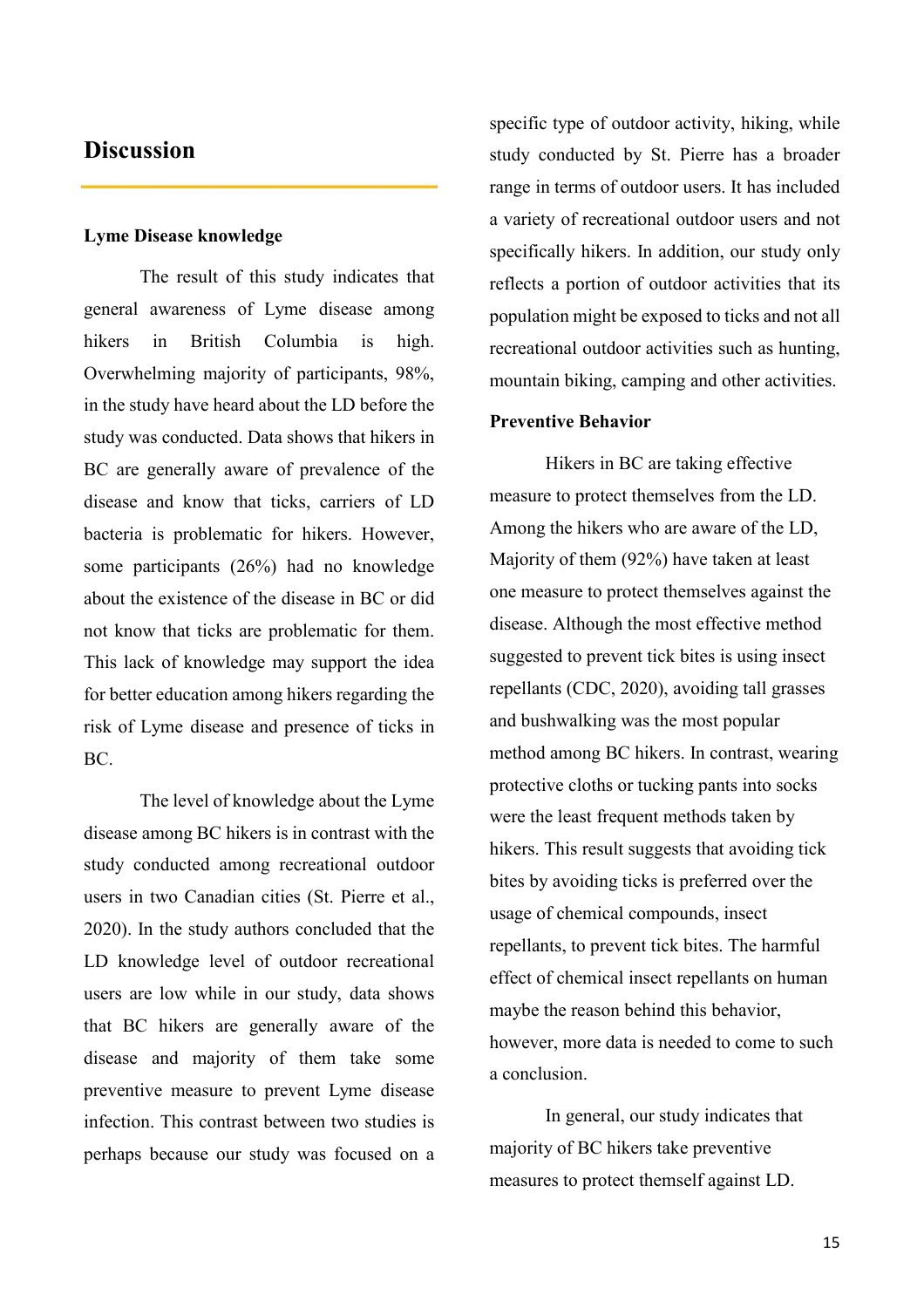### **Discussion**

#### **Lyme Disease knowledge**

The result of this study indicates that general awareness of Lyme disease among hikers in British Columbia is high. Overwhelming majority of participants, 98%, in the study have heard about the LD before the study was conducted. Data shows that hikers in BC are generally aware of prevalence of the disease and know that ticks, carriers of LD bacteria is problematic for hikers. However, some participants (26%) had no knowledge about the existence of the disease in BC or did not know that ticks are problematic for them. This lack of knowledge may support the idea for better education among hikers regarding the risk of Lyme disease and presence of ticks in BC.

The level of knowledge about the Lyme disease among BC hikers is in contrast with the study conducted among recreational outdoor users in two Canadian cities (St. Pierre et al., 2020). In the study authors concluded that the LD knowledge level of outdoor recreational users are low while in our study, data shows that BC hikers are generally aware of the disease and majority of them take some preventive measure to prevent Lyme disease infection. This contrast between two studies is perhaps because our study was focused on a

specific type of outdoor activity, hiking, while study conducted by St. Pierre has a broader range in terms of outdoor users. It has included a variety of recreational outdoor users and not specifically hikers. In addition, our study only reflects a portion of outdoor activities that its population might be exposed to ticks and not all recreational outdoor activities such as hunting, mountain biking, camping and other activities.

#### **Preventive Behavior**

Hikers in BC are taking effective measure to protect themselves from the LD. Among the hikers who are aware of the LD, Majority of them (92%) have taken at least one measure to protect themselves against the disease. Although the most effective method suggested to prevent tick bites is using insect repellants (CDC, 2020), avoiding tall grasses and bushwalking was the most popular method among BC hikers. In contrast, wearing protective cloths or tucking pants into socks were the least frequent methods taken by hikers. This result suggests that avoiding tick bites by avoiding ticks is preferred over the usage of chemical compounds, insect repellants, to prevent tick bites. The harmful effect of chemical insect repellants on human maybe the reason behind this behavior, however, more data is needed to come to such a conclusion.

In general, our study indicates that majority of BC hikers take preventive measures to protect themself against LD.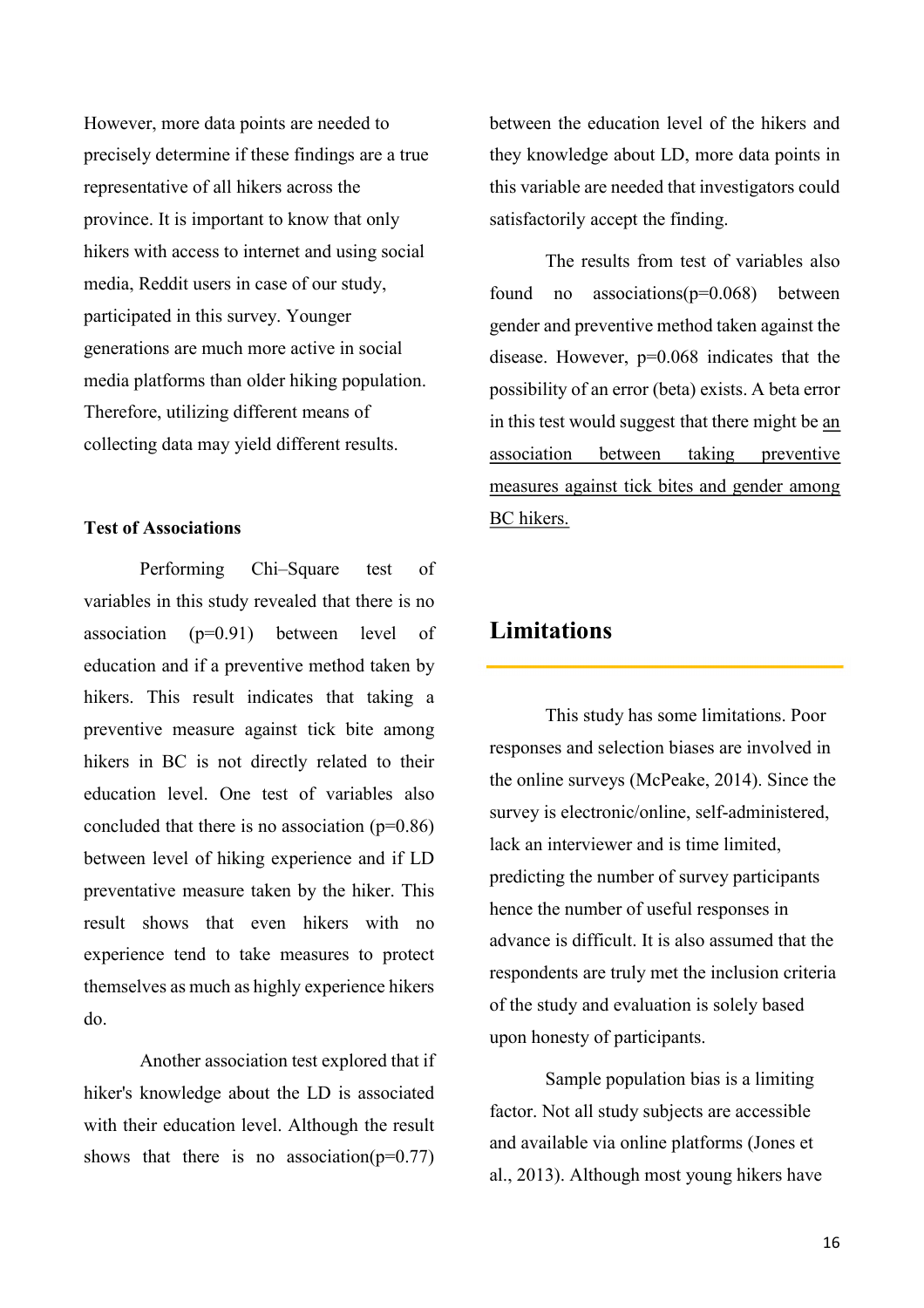However, more data points are needed to precisely determine if these findings are a true representative of all hikers across the province. It is important to know that only hikers with access to internet and using social media, Reddit users in case of our study, participated in this survey. Younger generations are much more active in social media platforms than older hiking population. Therefore, utilizing different means of collecting data may yield different results.

#### **Test of Associations**

Performing Chi–Square test of variables in this study revealed that there is no association (p=0.91) between level of education and if a preventive method taken by hikers. This result indicates that taking a preventive measure against tick bite among hikers in BC is not directly related to their education level. One test of variables also concluded that there is no association  $(p=0.86)$ between level of hiking experience and if LD preventative measure taken by the hiker. This result shows that even hikers with no experience tend to take measures to protect themselves as much as highly experience hikers do.

Another association test explored that if hiker's knowledge about the LD is associated with their education level. Although the result shows that there is no association( $p=0.77$ )

between the education level of the hikers and they knowledge about LD, more data points in this variable are needed that investigators could satisfactorily accept the finding.

The results from test of variables also found no associations $(p=0.068)$  between gender and preventive method taken against the disease. However, p=0.068 indicates that the possibility of an error (beta) exists. A beta error in this test would suggest that there might be an association between taking preventive measures against tick bites and gender among BC hikers.

### **Limitations**

This study has some limitations. Poor responses and selection biases are involved in the online surveys (McPeake, 2014). Since the survey is electronic/online, self-administered, lack an interviewer and is time limited, predicting the number of survey participants hence the number of useful responses in advance is difficult. It is also assumed that the respondents are truly met the inclusion criteria of the study and evaluation is solely based upon honesty of participants.

Sample population bias is a limiting factor. Not all study subjects are accessible and available via online platforms (Jones et al., 2013). Although most young hikers have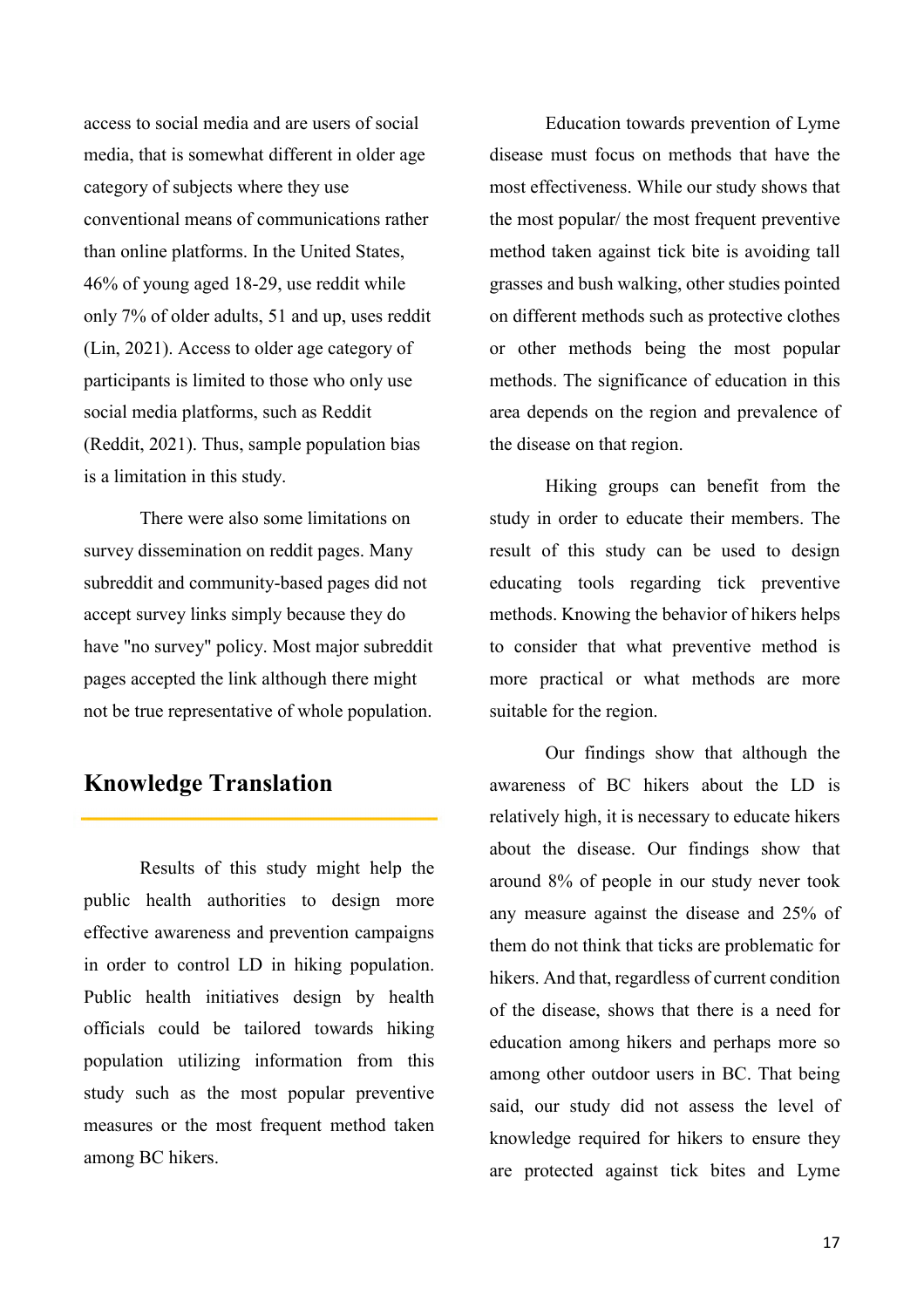access to social media and are users of social media, that is somewhat different in older age category of subjects where they use conventional means of communications rather than online platforms. In the United States, 46% of young aged 18-29, use reddit while only 7% of older adults, 51 and up, uses reddit (Lin, 2021). Access to older age category of participants is limited to those who only use social media platforms, such as Reddit (Reddit, 2021). Thus, sample population bias is a limitation in this study.

There were also some limitations on survey dissemination on reddit pages. Many subreddit and community-based pages did not accept survey links simply because they do have "no survey" policy. Most major subreddit pages accepted the link although there might not be true representative of whole population.

# **Knowledge Translation**

Results of this study might help the public health authorities to design more effective awareness and prevention campaigns in order to control LD in hiking population. Public health initiatives design by health officials could be tailored towards hiking population utilizing information from this study such as the most popular preventive measures or the most frequent method taken among BC hikers.

Education towards prevention of Lyme disease must focus on methods that have the most effectiveness. While our study shows that the most popular/ the most frequent preventive method taken against tick bite is avoiding tall grasses and bush walking, other studies pointed on different methods such as protective clothes or other methods being the most popular methods. The significance of education in this area depends on the region and prevalence of the disease on that region.

Hiking groups can benefit from the study in order to educate their members. The result of this study can be used to design educating tools regarding tick preventive methods. Knowing the behavior of hikers helps to consider that what preventive method is more practical or what methods are more suitable for the region.

Our findings show that although the awareness of BC hikers about the LD is relatively high, it is necessary to educate hikers about the disease. Our findings show that around 8% of people in our study never took any measure against the disease and 25% of them do not think that ticks are problematic for hikers. And that, regardless of current condition of the disease, shows that there is a need for education among hikers and perhaps more so among other outdoor users in BC. That being said, our study did not assess the level of knowledge required for hikers to ensure they are protected against tick bites and Lyme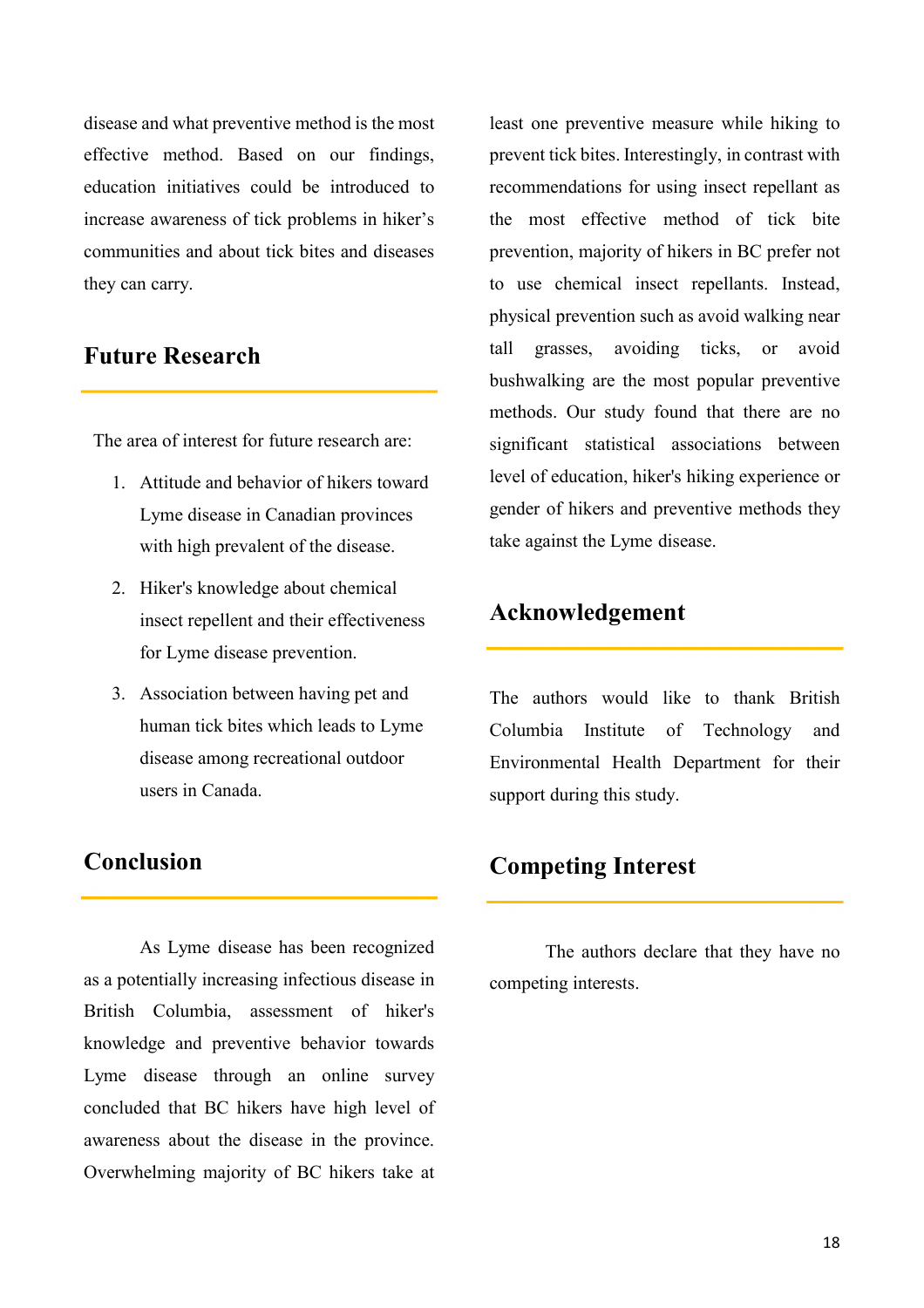disease and what preventive method is the most effective method. Based on our findings, education initiatives could be introduced to increase awareness of tick problems in hiker's communities and about tick bites and diseases they can carry.

### **Future Research**

The area of interest for future research are:

- 1. Attitude and behavior of hikers toward Lyme disease in Canadian provinces with high prevalent of the disease.
- 2. Hiker's knowledge about chemical insect repellent and their effectiveness for Lyme disease prevention.
- 3. Association between having pet and human tick bites which leads to Lyme disease among recreational outdoor users in Canada.

### **Conclusion**

As Lyme disease has been recognized as a potentially increasing infectious disease in British Columbia, assessment of hiker's knowledge and preventive behavior towards Lyme disease through an online survey concluded that BC hikers have high level of awareness about the disease in the province. Overwhelming majority of BC hikers take at

least one preventive measure while hiking to prevent tick bites. Interestingly, in contrast with recommendations for using insect repellant as the most effective method of tick bite prevention, majority of hikers in BC prefer not to use chemical insect repellants. Instead, physical prevention such as avoid walking near tall grasses, avoiding ticks, or avoid bushwalking are the most popular preventive methods. Our study found that there are no significant statistical associations between level of education, hiker's hiking experience or gender of hikers and preventive methods they take against the Lyme disease.

# **Acknowledgement**

The authors would like to thank British Columbia Institute of Technology and Environmental Health Department for their support during this study.

# **Competing Interest**

The authors declare that they have no competing interests.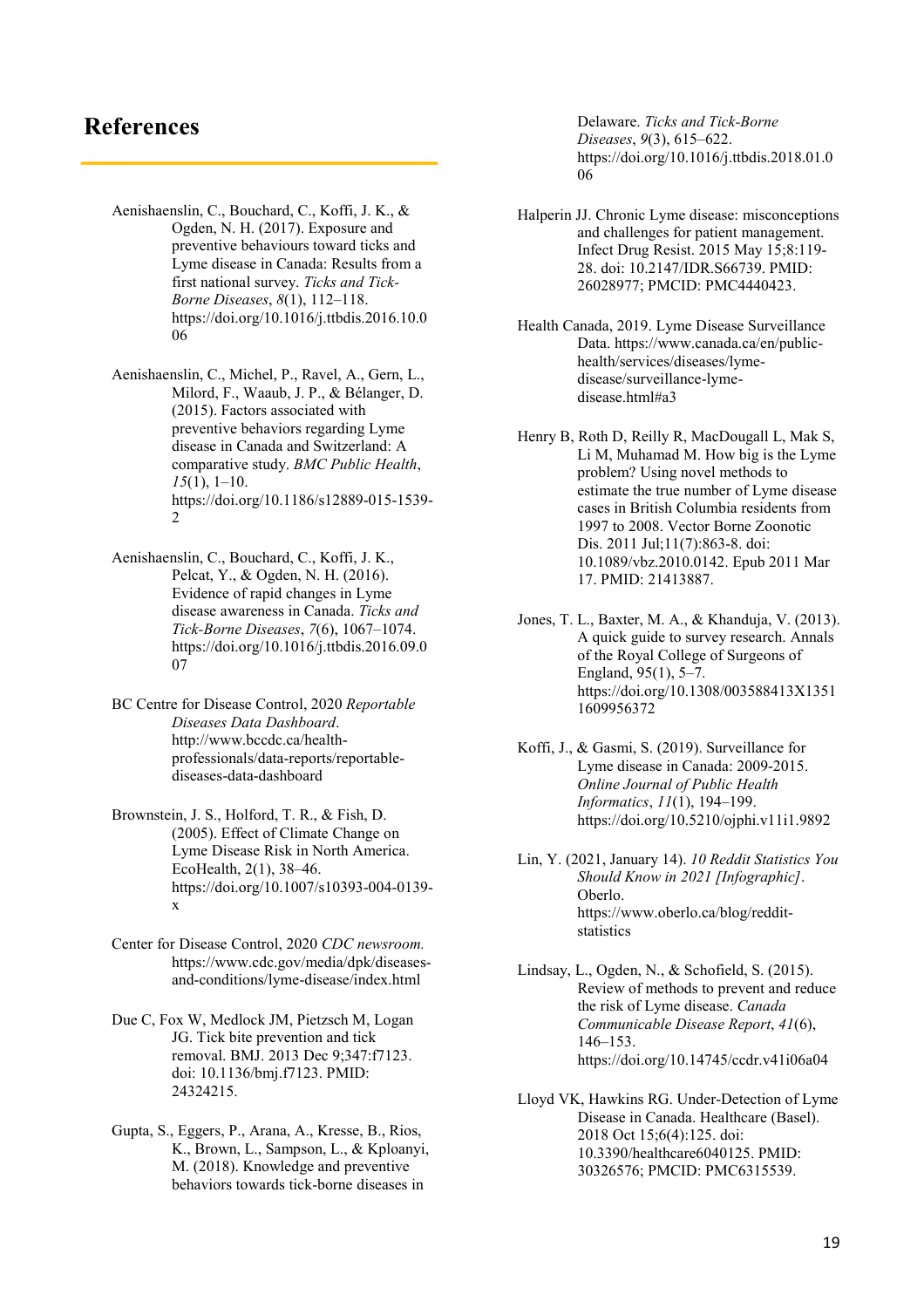### **References**

- Aenishaenslin, C., Bouchard, C., Koffi, J. K., & Ogden, N. H. (2017). Exposure and preventive behaviours toward ticks and Lyme disease in Canada: Results from a first national survey. *Ticks and Tick-Borne Diseases*, *8*(1), 112–118. https://doi.org/10.1016/j.ttbdis.2016.10.0 06
- Aenishaenslin, C., Michel, P., Ravel, A., Gern, L., Milord, F., Waaub, J. P., & Bélanger, D. (2015). Factors associated with preventive behaviors regarding Lyme disease in Canada and Switzerland: A comparative study. *BMC Public Health*, *15*(1), 1–10. https://doi.org/10.1186/s12889-015-1539- 2
- Aenishaenslin, C., Bouchard, C., Koffi, J. K., Pelcat, Y., & Ogden, N. H. (2016). Evidence of rapid changes in Lyme disease awareness in Canada. *Ticks and Tick-Borne Diseases*, *7*(6), 1067–1074. https://doi.org/10.1016/j.ttbdis.2016.09.0 07
- BC Centre for Disease Control, 2020 *Reportable Diseases Data Dashboard*. http://www.bccdc.ca/healthprofessionals/data-reports/reportablediseases-data-dashboard
- Brownstein, J. S., Holford, T. R., & Fish, D. (2005). Effect of Climate Change on Lyme Disease Risk in North America. EcoHealth, 2(1), 38–46. https://doi.org/10.1007/s10393-004-0139 x
- Center for Disease Control, 2020 *CDC newsroom.*  https://www.cdc.gov/media/dpk/diseasesand-conditions/lyme-disease/index.html
- Due C, Fox W, Medlock JM, Pietzsch M, Logan JG. Tick bite prevention and tick removal. BMJ. 2013 Dec 9;347:f7123. doi: 10.1136/bmj.f7123. PMID: 24324215.
- Gupta, S., Eggers, P., Arana, A., Kresse, B., Rios, K., Brown, L., Sampson, L., & Kploanyi, M. (2018). Knowledge and preventive behaviors towards tick-borne diseases in

Delaware. *Ticks and Tick-Borne Diseases*, *9*(3), 615–622. https://doi.org/10.1016/j.ttbdis.2018.01.0 06

- Halperin JJ. Chronic Lyme disease: misconceptions and challenges for patient management. Infect Drug Resist. 2015 May 15;8:119- 28. doi: 10.2147/IDR.S66739. PMID: 26028977; PMCID: PMC4440423.
- Health Canada, 2019. Lyme Disease Surveillance Data. https://www.canada.ca/en/publichealth/services/diseases/lymedisease/surveillance-lymedisease.html#a3
- Henry B, Roth D, Reilly R, MacDougall L, Mak S, Li M, Muhamad M. How big is the Lyme problem? Using novel methods to estimate the true number of Lyme disease cases in British Columbia residents from 1997 to 2008. Vector Borne Zoonotic Dis. 2011 Jul;11(7):863-8. doi: 10.1089/vbz.2010.0142. Epub 2011 Mar 17. PMID: 21413887.
- Jones, T. L., Baxter, M. A., & Khanduja, V. (2013). A quick guide to survey research. Annals of the Royal College of Surgeons of England, 95(1), 5–7. https://doi.org/10.1308/003588413X1351 1609956372
- Koffi, J., & Gasmi, S. (2019). Surveillance for Lyme disease in Canada: 2009-2015. *Online Journal of Public Health Informatics*, *11*(1), 194–199. https://doi.org/10.5210/ojphi.v11i1.9892
- Lin, Y. (2021, January 14). *10 Reddit Statistics You Should Know in 2021 [Infographic]*. Oberlo. https://www.oberlo.ca/blog/redditstatistics

Lindsay, L., Ogden, N., & Schofield, S. (2015). Review of methods to prevent and reduce the risk of Lyme disease. *Canada Communicable Disease Report*, *41*(6), 146–153. https://doi.org/10.14745/ccdr.v41i06a04

Lloyd VK, Hawkins RG. Under-Detection of Lyme Disease in Canada. Healthcare (Basel). 2018 Oct 15;6(4):125. doi: 10.3390/healthcare6040125. PMID: 30326576; PMCID: PMC6315539.